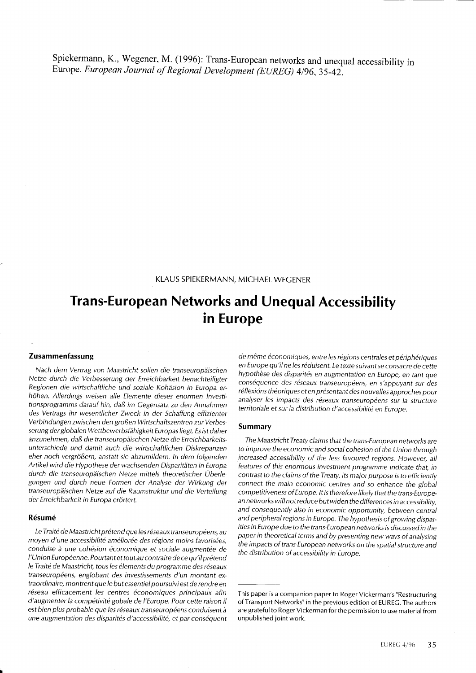Spiekermann, K., Wegener, M. (1996): Trans-European networks and unequal accessibility in Europe. European Journal of Regional Development (EUREG) 4/96, 35-42.

KLAUS SPIEKERMANN, MICHAEL WECENER

# in Europe Trans-European Networks and Unequal Accessibility

## Zusammenfassung

Nach dem Vertrag von Maastricht sollen die transeuropäischen Netze durch die Verbesserung der Erreichbarkeit benachteiligter Regionen die wirtschaftliche und soziale Kohäsion in Europa erhöhen. Allerdings weisen alle Elemente dieses enormen Investitionsprogramms darauf hin, daß im Cegensatz zu den Annahmen des Vertrags ihr wesentlicher Zweck in der Schaffung effizienter Verbindungen zwischen den großen Wirtschaftszentren zur Verbesserung der globalen Wettbewerbsfähigkeit Europas liegt. Es ist daher anzunehmen, daß die transeuropäischen Netze die Erreichbarkeitsunterschiede und damit auch die wirtschaftlichen Diskrepanzen eher noch vergrößern, anstatt sie abzumildern. ln dem folgenden Artikel wird die Hypothese der wachsenden Disparitäten in Europa durch die transeuropäischen Netze mittels theoretischer Überlegungen und durch neue Formen der Analyse der Wirkung der transeuropäischen Netze auf die Raumstruktur und die Verteilung der Erreichbarkeit in Europa erörtert.

### Résumé

Le Traité de Maastricht prétend que les réseaux transeuropéens, au moyen d'une accessibilité améliorée des régions moins favorisées, conduise à une cohésion économique et sociale augmentée de l'Union Européenne. Pourtant et tout au contraire de ce qu'il prétend le Traité de Maastricht, tous les élements du programme des réseaux transeuropéens, englobant des investissements d'un montant extraordinaire, montrent que le but essentiel poursuivi est de rendre en réseau efficacement les centres économiques principaux afin d'augmenter la compétivité gobale de l'Europe. Pour cette raison il est bien plus probable que les réseaux transeuropéens conduisent à une augmentation des disparités d'accessibilité, et par conséquent de même économiques, entre les régions centrales et périphériques en Europe qu'il ne les réduisent. Le texte suivant se consacre de cette hypothèse des disparités en augmentation en Europe, en tant que conséquence des réseaux transeuropéens, en s'appuyant sur des réflexions théoriques et en présentant des nouvelles approches pour analyser les impacts des réseaux transeuropéens sur la structure territoriale et sur la distribution d'accessibilité en Europe.

#### Summary

The Maastricht Treaty claims that the trans-European networks are to improve the economic and social cohesion of the Union through increased accessibility of the less favoured regions. However, all features of this enormous investment programme indicate that, in contrast to the claims of the Treaty, its major purpose is to efficiently connect the main economic centres and so enhance the global competitiveness of Europe. It is therefore likely that the trans-European networks will not reduce but widen the differences in accessibility, and consequently also in economic opportunity, between central and peripheral regions in Europe. The hypothesis of growing disparities in Europe due to the trans-European networks is discussed in the paper in theoretical terms and by presenting new ways of analysing the impacts of trans-European networks on the spatial structure and the distribution of accessibility in Europe.

This paper is a companion paper to Roger Vickerman's "Restructuring of Transport Networks" in the previous edition of EUREC. The authors are grateful to Roger Vickerman for the permission to use material from unpublished joint work.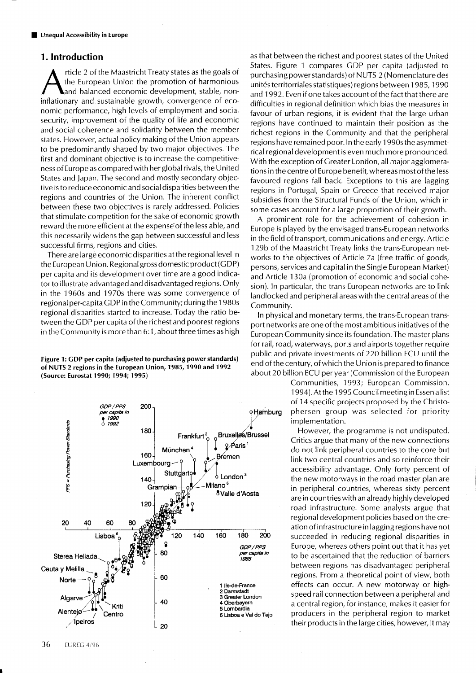# 1. lntroduction

rticle 2 of the Maastricht Treaty states as the goals of the European Union the promotion of harmonious and balanced economic development, stable, noninflationary and sustainable growth, convergence of economic performance, high levels of employment and social security, improvement of the quality of life and economic and social coherence and solidarity between the member states. However, actual policy making of the Union appears to be predominantly shaped by two major objectives. The first and dominant objective is to increase the competitiveness of Europe as compared with her global rivals, the United States and Japan. The second and mostly secondary objective is to reduce economic and social disparities between the regions and countries of the Union. The inherent conflict between these two objectives is rarely addressed. Policies that stimulate competition for the sake of economic growth reward the more efficient at the expense of the less able, and this necessarily widens the gap between successful and less successful firms, regions and cities.

There are large economic disparities at the regional level in the European Union. Regional gross domestic product (GDP) per capita and its development over time are a good indicator to illustrate advantaged and disadvantaged regions. Only in the 1960s and 1970s there was some convergence of regional per-capita GDP in the Community; during the 1980s regional disparities started to increase. Today the ratio between the CDP per capita of the richest and poorest regions in the Community is more than 6:1 , about three times as high

Figure 1: CDP per capita (adjusted to purchasing power standards) of NUTS 2 regions in the European Union, 1985, 1990 and 1992 (Source: Eurostat 1990; 1994; 1995)



as that between the richest and poorest states of the United States. Figure 1 compares GDP per capita (adjusted to purchasing power standards) of NUTS 2 (Nomenclature des unités territorriales statistiques) regions between 1985, 1990 and 1992. Even if one takes account of the fact that there are difficulties in regional definition which bias the measures in favour of urban regions, it is evident that the large urban regions have continued to maintain their position as the richest regions in the Community and that the peripheral regions have remained poor. ln the early 1 990s the asymmetrical regional development is even much more pronounced. With the exception of Greater London, all major agglomerations in the centre of Europe benefit, whereas most of the less favoured regions fall back. Exceptions to this are lagging regions in Portugal, Spain or Greece that received major subsidies from the Structural Funds of the Union, which in some cases account for a large proportion of their growth.

A prominent role for the achievement of cohesion in Europe is played by the envisaged trans-European networks in the field of transport, communications and energy. Article 129b of the Maastricht Treaty links the trans-European networks to the objectives of Article 7a (free traffic of goods, persons, services and capital in the Single European Market) and Article 1 30a (promotion of economic and social cohesion). ln particular, the trans-European networks are to link Iandlocked and peripheral areas with the central areas of the Community.

ln physical and monetary terms, the trans-European transport networks are one of the most ambitious initiatives of the European Community since its foundation. The master plans for rail, road, waterways, ports and airports together require public and private investments o{ 22O billion ECU until the end of the century, of which the Union is prepared to finance about 20 billion ECU per year (Commission of the European

Communities, 1993; European Commission, 1994). At the 1995 Council meeting in Essen a list of 14 specific projects proposed by the Christophersen group was selected for priority implementation.

However, the programme is not undisputed. Critics argue that many of the new connections do not link peripheral countries to the core but link two central countries and so reinforce their accessibility advantage. Only forty percent of the new motorways in the road master plan are in peripheral countries, whereas sixty percent are in countries with an already highly developed road infrastructure. Some analysts argue that regional development policies based on the creation of infrastructure in lagging regions have not succeeded in reducing regional disparities in Europe, whereas others point out that it has yet to be ascertained that the reduction of barriers between regions has disadvantaged peripheral regions. From a theoretical point of view, both effects can occur. A new motorway or highspeed rail connection between a peripheral and a central region, for instance, makes it easier for producers in the peripheral region to market their products in the Iarge cities, however, it may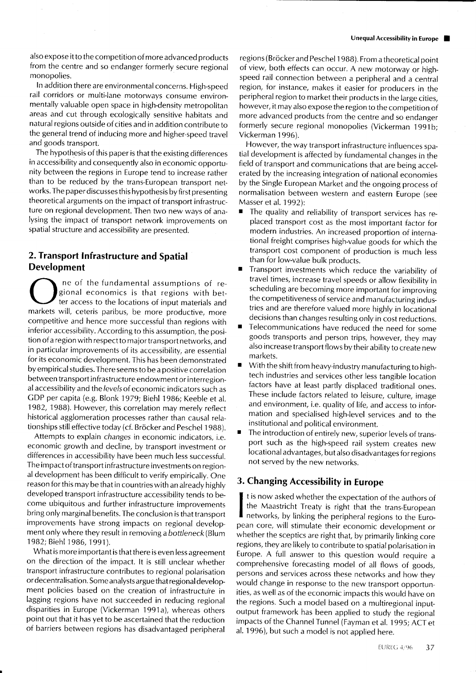also expose itto the competition of more advanced products from the centre and so endanger formerly secure regional monopolies.

ln addition there are environmental concerns. High-speed rail corridors or multi-lane motorways consume environmentally valuable open space in high-density metropolitan areas and cut through ecologically sensitive habitats and natural regions outside of cities and in addition contribute to the general trend of inducing more and higher-speed travel and goods transport.

The hypothesis of this paper is that the existing differences in accessibility and consequently also in economic opportunity between the regions in Europe tend to increase rather than to be reduced by the trans-European transport networks. The paper discusses this hypothesis by first presenting theoretical arguments on the impact of transport infrastructure on regional development. Then two new ways of analysing the impact of transport network improvements on spatial structure and accessibility are presented.

# 2. Transport lnfrastructure and Spatial Development

 $\overline{\phantom{a}}$ ne of the fundamental assumptions of re-<br>gional economics is that regions with bet-<br>ter access to the locations of input materials and markets will, ceteris paribus, be more productive, more competitive and hence more successful than regions with inferior accessibility. According to this assumption, the position of a region with respect to major transport networks, and in particular improvements of its accessibility, are essential for its economic development. This has been demonstrated by empirical studies. There seems to be a positive correlation between transport infrastructure endowment or interregional accessibility and the levels of economic indicators such as GDP per capita (e.g. Blonk 1979; Biehl 1986; Keeble et al. 1982, 1988). However, this correlation may merely reflect historical agglomeration processes rather than causal relationships still effective today (cf. Bröcker and Peschel 198B).

Attempts to explain changes in economic indicators, i.e. economic growth and decline, by transport investment or differences in accessibility have been much less successful. The impact of transport infrastructure investments on regional development has been difficult to verify empirically. One reason for this may be that in countries with an already highly developed transport infrastructure accessibility tends to become ubiquitous and further infrastructure improvements bring only marginal benefits. The conclusion is that transport improvements have strong impacts on regional development only where they result in removing a bottleneck (Blum <sup>1</sup>982; Biehl 1986, 1991).

What is more important is that there is even less agreement on the direction of the impact. lt is still unclear whether transport infrastructure contributes to regional polarisation or decentralisation. Some analysts argue that regional development policies based on the creation of infrastructure in Iagging regions have not succeeded in reducing regional disparities in Europe (Vickerman 1991a), whereas others point out that it has yet to be ascertained that the reduction of barriers between regions has disadvantaged peripheral

regions (Bröcker and Peschel 1 9SB). From a theoretical point of view, both effects can occur. A new motorway or highspeed rail connection between a peripheral and a central region, for instance, makes it easier for producers in the peripheral region to market their products in the large cities, however, it may also expose the region to the competition of more advanced products from the centre and so endanger formerly secure regional monopolies (Vickerman 1991b; Vickerman 1996).

However, the way transport infrastructure influences spatial development is affected by fundamental changes in the field of transport and communications that are being accelerated by the increasing integration of national economies by the Single European Market and the ongoing process of normalisation between western and eastern Europe (see Masser et al. 1992):

- The quality and reliability of transport services has replaced transport cost as the most important factor for modern industries. An increased proportion of international freight comprises high-value goods for which the transport cost component of production is much less than for low-value bulk products.
- Transport investments which reduce the variability of travel times, increase travel speeds or allow flexibility in scheduling are becoming more important for improving the competitiveness of service and manufacturing industries and are therefore valued more highly in locational decisions than changes resulting only in cost reductions.
- **Telecommunications have reduced the need for some** goods transports and person trips, however, they may also increase transport flows by their ability to create new markets.
- **•** With the shift from heavy-industry manufacturing to hightech industries and services other less tangible location factors have at least partly displaced traditional ones. These include factors related to leisure, culture, image and environment, i.e. quality of life, and access to information and specialised high-level services and to the institutional and political environment.
- The introduction of entirely new, superior levels of transport such as the high-speed rail system creates new locational advantages, but also disadvantages for regions not served by the new networks.

# 3. Changing Accessibility in Europe

t is now asked whether the expectation of the authors of the Maastricht Treaty is right that the trans-European networks, by linking the peripheral regions to the European core, will stimulate their economic development or whether the sceptics are right that, by primarily linking core regions, they are likely to contribute to spatial polarisation in Europe. A full answer to this question would require <sup>a</sup> comprehensive forecasting model of all flows of goods, persons and services across these networks and how they would change in response to the new transport opportunities, as well as of the economic impacts this would have on the regions. Such a model based on a multiregional inputoutput framework has been applied to study the regional impacts of the Channel Tunnel (Fayman et al. 1995; ACT et al. 1996), but such a model is not applied here.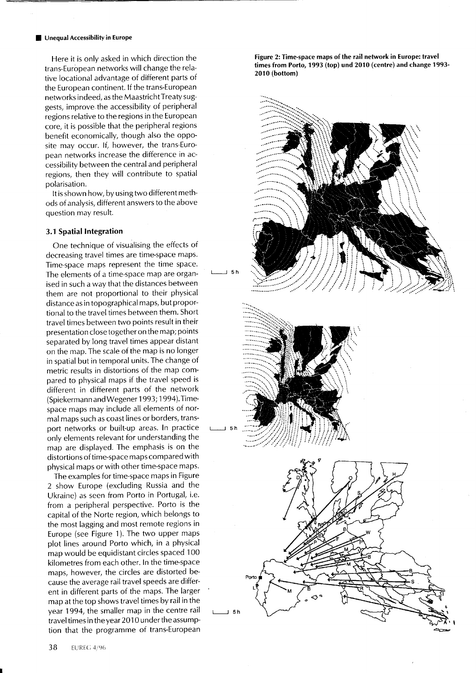#### **Unequal Accessibility in Europe**

Here it is only asked in which direction the trans-European networks will change the relative locational advantage of different parts of the European continent. lf the trans-European networks indeed, as the Maastricht Treaty suggests, improve-the accessibility of peripheral regions relative to the regions in the European core, it is possible that the peripheral regions benefit economically, though also the opposite may occur. lf, however, the trans-European networks increase the difference in accessibility between the central and peripheral regions, then they will contribute to spatial polarisation.

It is shown how, by using two different methods of analysis, different answers to the above question may result.

## 3.1 Spatial lntegration

One technique of visualising the effects of decreasing travel times are time-space maps. Time-space maps represent the time space. The elements of a time-space map are organised in such a way that the distances between them are not proportional to their physical distance as in topographical maps, but proportional to the travel times between them. Short travel times between two points result in their presentation close together on the map; points separated by long travel times appear distant on the map. The scale of the map is no longer in spatial but in temporal units. The change of metric results in distortions of the map compared to physical maps if the travel speed is different in different parts of the network (Spiekermann and Wegene r 1993;1 994).Timespace maps may include all elements of normal maps such as coast Iines or borders, transport networks or built-up areas. ln practice only elements relevant for understanding the map are displayed. The emphasis is on the distortions of time-space mapscompared with physical maps or with other time-space maps.

The examples for time-space maps in Figure 2 show Europe (excluding Russia and the Ukraine) as seen from Porto in Portugal, i.e. from a peripheral perspective. Porto is the capital of the Norte region, which belongs to the most lagging and most remote regions in Europe (see Figure 1). The two upper maps plot lines around Porto which, in a physical map would be equidistant circles spaced 100 kilometres from each other. ln the time-space maps, however, the circles are distorted because the average rail travel speeds are different in different parts of the maps. The larger map at the top shows travel times by rail in the year 1994, the smaller map in the centre rail travel times in theyear 2010 underthe assumption that the programme of trans-European

Figure 2: Time-space maps of the rail network in Europe: travel times from Porto, 1993 (top) und 2010 (centre) and change 1993-2010 (bottom)





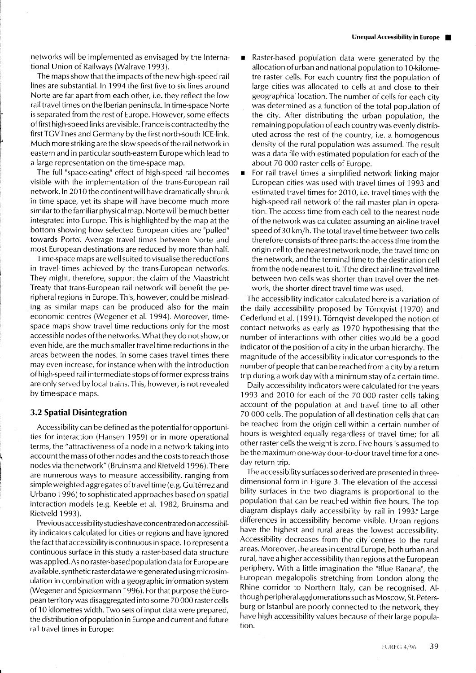networks will be implemented as envisaged by the lnternational Union of Railways (Walrave 1993).

The maps show that the impacts of the new high-speed rail lines are substantial. ln 1994 the first five to six lines around Norte are far apart from each other, i.e. they reflect the low rail travel times on the Iberian peninsula. In time-space Norte is separated from the rest of Europe. However, some effects of first high-speed links are visible. France is contracted by the first TGV lines and Germany by the first north-south ICE-link. Much more striking are the slow speeds of the rail network in eastern and in particular south-eastern Europe which lead to a large representation on the time-space map.

The full "space-eating" effect of high-speed rail becomes visible with the implementation of the trans-European rail network. In 2010 the continent will have dramatically shrunk in time space, yet its shape will have become much more similar to the familiar physical map. Norte will be much better integrated into Europe. This is highlighted by the map at the bottom showing how selected European cities are "pulled" towards Porto. Average travel times between Norte and most European destinations are reduced by more than half.

Time-space maps are well suited to visualise the reductions in travel times achieved by the trans-European networks. They might, therefore, support the claim of the Maastricht Treaty that trans-European rail network will benefit the peripheral regions in Europe. This, however, could be misleading as similar maps can be produced also for the main economic centres (Wegener et al. I994). Moreover, timespace maps show travel time reductions only for the most accessible nodes of the networks. What they do not show, or even hide, are the much smaller travel time reductions in the areas between the nodes. ln some cases travel times there may even increase, for instance when with the introduction of high-speed rail intermediate stops of former express trains are only served by local trains. This, however, is not revealed by time-space maps.

### 3.2 Spatial Disintegration

Accessibility can be defined as the potential for opportunities for interaction (Hansen 1959) or in more operational terms, the "attractiveness of a node in a network taking into account the mass of other nodes and the costs to reach those nodes via the network" (Bruinsma and Rietveld 1 996). There are numerous ways to measure accessibility, ranging from simple weighted aggregates of travel time (e.g. Guitérrez and Urbano 1996) to sophisticated approaches based on spatial interaction models (e.g. Keeble et al. 1982, Bruinsma and Rietveld 1993).

Previous accessibility studies have concentrated on accessibility indicators calculated for cities or regions and have ignored the fact that accessibility is continuous in space. To represent a continuous surface in this study a raster-based data structure was applied. As no raster-based population data for Europe are available, synthetic raster data were generated using microsimulation in combination with a geographic information system (Wegener and Spiekermann 1996). For that purpose the European territory was disaggregated into some 70 000 raster cells of 10 kilometres width. Two sets of input data were prepared, the distribution of population in Europe and current and future rail travel times in Europe:

- Raster-based population data were generated by the allocation of urban and national population to 1 O-kilometre raster cells. For each country first the population of large cities was allocated to cells at and close to their geographical location. The number of cells for each city was determined as a function of the total population of the city. After distributing the urban population, the remaining population of each country was evenly distributed across the rest of the country, i.e. a homogenous density of the rural population was assumed. The result was a data file with estimated population for each of the about 70 000 raster cells of Europe.
- **For rail travel times a simplified network linking major** European cities was used with travel times of 1993 and estimated travel times for 2010, i.e. travel times with the high-speed rail network of the rail master plan in operation. The access time from each cell to the nearest node of the network was calculated assuming an air-line travel speed of 30 km/h. The total travel time between two cells therefore consists of three parts: the access time from the origin cell to the nearest network node, the travel time on the network, and the terminal time to the destination cell from the node nearest to it. If the direct air-line travel time between two cells was shorter than travel over the network, the shorter direct travel time was used.

The accessibility indicator calculated here is a variation of the daily accessibility proposed by Törnqvist (1920) and Cederlund et al. (1991). Törnqvist developed the notion of contact networks as early as 197O hypothesising that the number of interactions with other cities would be a good indicator of the position of a city in the urban hierarchy. The magnitude of the accessibility indicator corresponds to the number of people that can be reached from a city by a return trip during a work day with a minimum stay of a certain time.

Daily accessibility indicators were calculated for the years 1993 and 2010 for each of the 70 000 raster cells taking account of the population at and travel time to all other 70 000 cells. The population of all destination cells that can be reached from the origin cell within a certain number of hours is weighted equally regardless of travel time; for all other raster cells the weight is zero. Five hours is assumed to be the maximum one-way door-to-door travel time for a oneday return trip.

The accessibility surfaces so derived are presented in threedimensional form in Figure 3. The elevation of the accessibility surfaces in the two diagrams is proportional to the population that can be reached within five hours. The top diagram displays daily accessibility by rail in 1993. Large differences in accessibility become visible. Urban regions have the highest and rural areas the lowest accessibility. Accessibility decreases from the city centres to the rural areas. Moreover, the areas in central Europe, both urban and rural, have a higher accessibility than regions atthe European periphery. With a little imagination the "Blue Banana", the European megalopolis stretching from London along the Rhine corridor to Northern ltaly, can be recognised. Although peripheral agglomerations such as Moscow, St. Petersburg or lstanbul are poorly connected to the network, they have high accessibility values because of their large population.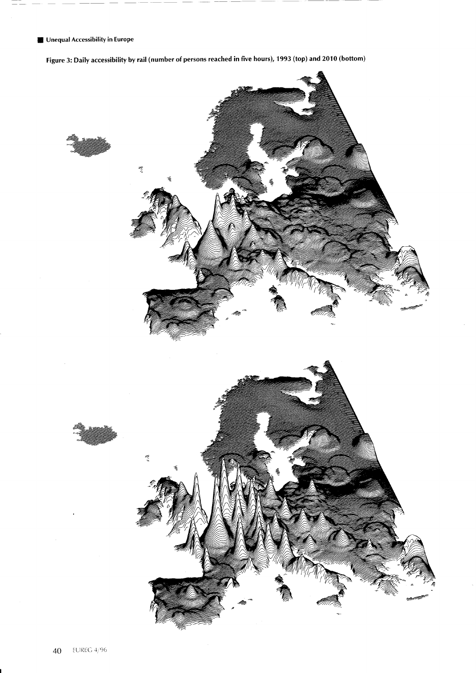**E. Unequal Accessibility in Europe** 

Figure 3: Daily accessibility by rail (number of persons reached in five hours), 1993 (top) and 2010 (bottom)

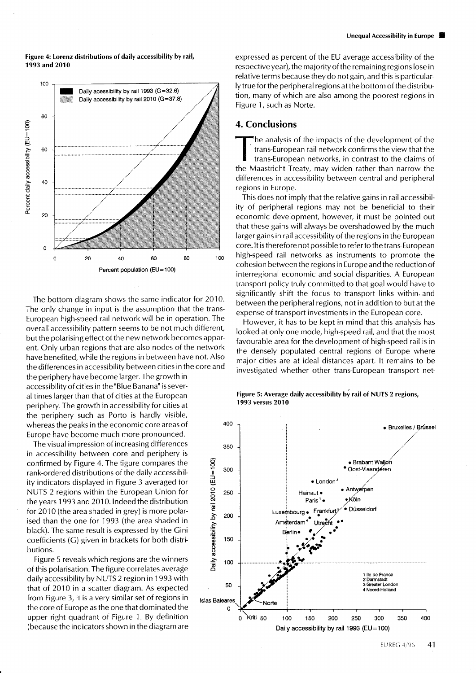Figure 4: Lorenz distributions of daily accessibility by rail, 1993 and 2010



The bottom diagram shows the same indicator for 2O1O. The only change in input is the assumption that the trans-European high-speed rail network will be in operation. The overall accessibility pattern seems to be not much different, but the polarising effect of the new network becomes apparent. Only urban regions that are also nodes of the network have benefited, while the regions in between have not. Also the differences in accessibility between cities in the core and

the periphery have become larger. The growth in accessibility of cities in the "BIue Banana" is several times larger than that of cities at the European periphery. The growth in accessibility for cities at the periphery such as Porto is hardly visible, whereas the peaks in the economic core areas of Europe have become much more pronounced.

The visual impression of increasing differences in accessibility between core and periphery is confirmed by Figure 4. The figure compares the rank-ordered distributions of the daily accessibility indicators displayed in Figure 3 averaged for NUTS 2 regions within the European Union for the years 1 993 and 2010. lndeed the distribution for  $2010$  (the area shaded in grey) is more polarised than the one for 1993 (the area shaded in black). The same result is expressed by the Cini coefficients (G) given in brackets for both distributions.

Figure 5 reveals which regions are the winners of this polarisation. The figure correlates average daily accessibility by NUTS 2 region in 1993 with that of 2010 in a scatter diagram. As expected from Figure 3, it is a very similar set of regions in the core of Europe as the one that dominated the upper right quadrant of Figure 1. By definition (because the indicators shown in the diagram are

expressed as percent of the EU average accessibility o{ the respective year), the majority of the remaining regions lose in relative terms because they do not gain, and this is particularly true for the peripheral regions at the bottom of the distribution, many of which are also among the poorest regions in Figure 1, such as Norte.

# 4. Conclusions

he analysis of the impacts of the development of the trans-European rail network confirms the view that the

trans-European networks, in contrast to the claims of the Maastricht Treaty, may widen rather than narrow the differences in accessibility between central and peripheral regions in Europe.

This does not imply that the relative gains in rail accessibility of peripheral regions may not be beneficial to their economic development, however, it must be pointed out that these gains will always be overshadowed by the much Iarger gains in rail accessibility of the regions in the European core. lt is therefore not possible to refer to the trans-European high-speed rail networks as instruments to promote the cohesion between the regions in Europe and the reduction of interregional economic and social disparities. A European transport policy truly committed to that goal would have to significantly shift the focus to transport links within. and between the peripheral regions, not in addition to but at the expense of transport investments in the European core.

However, it has to be kept in mind that this analysis has looked at only one mode, high-speed rail, and that the most favourable area for the development of high-speed rail is in the densely populated central regions of Europe where major cities are at ideal distances apart. lt remains to be investigated whether other trans-European transport net-

Figure 5: Average daily accessibility by rail of NUTS 2 regions, 1993 versus 2010